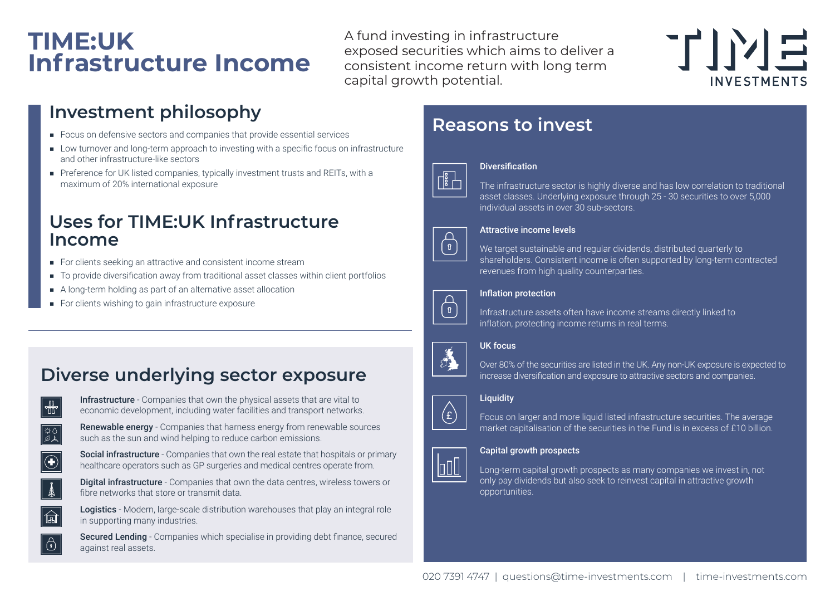## **TIME:UK Infrastructure Income**

A fund investing in infrastructure exposed securities which aims to deliver a consistent income return with long term capital growth potential.



### **Investment philosophy**

- Focus on defensive sectors and companies that provide essential services
- Low turnover and long-term approach to investing with a specific focus on infrastructure and other infrastructure-like sectors
- Preference for UK listed companies, typically investment trusts and REITs, with a maximum of 20% international exposure

### **Uses for TIME:UK Infrastructure Income**

- For clients seeking an attractive and consistent income stream
- To provide diversification away from traditional asset classes within client portfolios
- A long-term holding as part of an alternative asset allocation
- For clients wishing to gain infrastructure exposure

### **Diverse underlying sector exposure**



Infrastructure - Companies that own the physical assets that are vital to economic development, including water facilities and transport networks.



Renewable energy - Companies that harness energy from renewable sources such as the sun and wind helping to reduce carbon emissions.



Social infrastructure - Companies that own the real estate that hospitals or primary healthcare operators such as GP surgeries and medical centres operate from.



Digital infrastructure - Companies that own the data centres, wireless towers or fibre networks that store or transmit data.



 $\big| \big|$ 

Logistics - Modern, large-scale distribution warehouses that play an integral role in supporting many industries.

Secured Lending - Companies which specialise in providing debt finance, secured against real assets.

### **Reasons to invest**



#### Diversification

The infrastructure sector is highly diverse and has low correlation to traditional asset classes. Underlying exposure through 25 - 30 securities to over 5,000 individual assets in over 30 sub-sectors.



#### Attractive income levels

We target sustainable and regular dividends, distributed quarterly to shareholders. Consistent income is often supported by long-term contracted revenues from high quality counterparties.

#### Inflation protection



Infrastructure assets often have income streams directly linked to inflation, protecting income returns in real terms.

#### UK focus

Á

Over 80% of the securities are listed in the UK. Any non-UK exposure is expected to increase diversification and exposure to attractive sectors and companies.

#### **Liquidity**



**bo0** 

Focus on larger and more liquid listed infrastructure securities. The average market capitalisation of the securities in the Fund is in excess of £10 billion.

#### Capital growth prospects

Long-term capital growth prospects as many companies we invest in, not only pay dividends but also seek to reinvest capital in attractive growth opportunities.

020 7391 4747 | questions@time-investments.com | time-investments.com